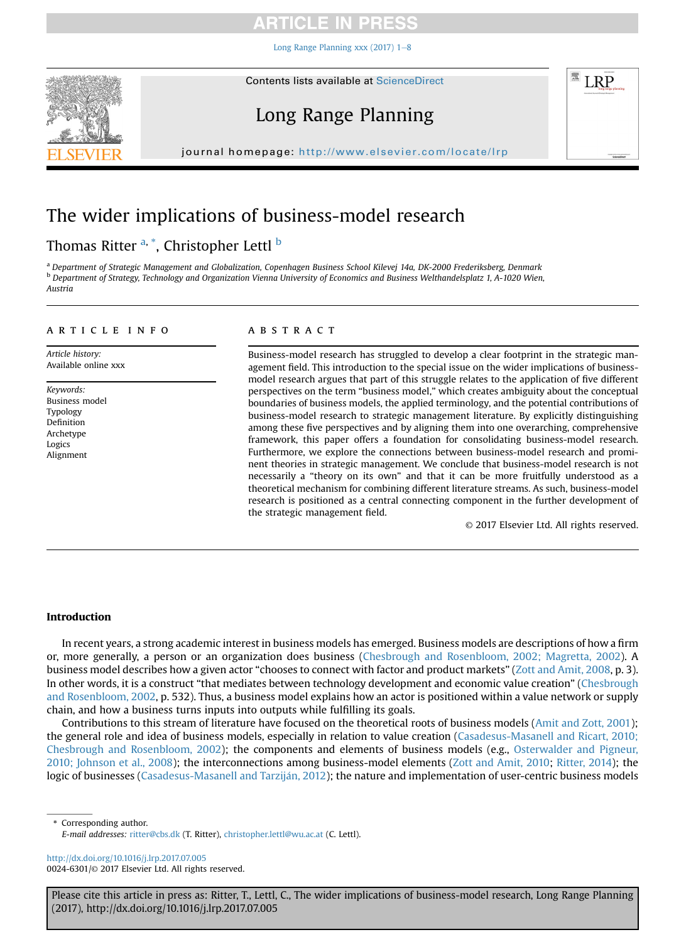## CI E I

Long Range Planning xxx (2017)  $1-8$  $1-8$ 



# Long Range Planning

journal homepage: [http://www.elsevier.com/locate/lrp](http://http://www.elsevier.com/locate/lrp)p/ $\mathcal{N}$ 

# The wider implications of business-model research

### Thomas Ritter <sup>a, \*</sup>, Christopher Lettl <sup>b</sup>

<sup>a</sup> Department of Strategic Management and Globalization, Copenhagen Business School Kilevej 14a, DK-2000 Frederiksberg, Denmark b Department of Strategy, Technology and Organization Vienna University of Economics and Business Welthandelsplatz 1, A-1020 Wien, Austria

#### article info

Article history: Available online xxx

Keywords: Business model Typology Definition Archetype Logics Alignment

### **ABSTRACT**

Business-model research has struggled to develop a clear footprint in the strategic management field. This introduction to the special issue on the wider implications of businessmodel research argues that part of this struggle relates to the application of five different perspectives on the term "business model," which creates ambiguity about the conceptual boundaries of business models, the applied terminology, and the potential contributions of business-model research to strategic management literature. By explicitly distinguishing among these five perspectives and by aligning them into one overarching, comprehensive framework, this paper offers a foundation for consolidating business-model research. Furthermore, we explore the connections between business-model research and prominent theories in strategic management. We conclude that business-model research is not necessarily a "theory on its own" and that it can be more fruitfully understood as a theoretical mechanism for combining different literature streams. As such, business-model research is positioned as a central connecting component in the further development of the strategic management field.

© 2017 Elsevier Ltd. All rights reserved.

**LRP** 

#### Introduction

In recent years, a strong academic interest in business models has emerged. Business models are descriptions of how a firm or, more generally, a person or an organization does business (Chesbrough and Rosenbloom, 2002; Magretta, 2002). A business model describes how a given actor "chooses to connect with factor and product markets" (Zott and Amit, 2008, p. 3). In other words, it is a construct "that mediates between technology development and economic value creation" (Chesbrough and Rosenbloom, 2002, p. 532). Thus, a business model explains how an actor is positioned within a value network or supply chain, and how a business turns inputs into outputs while fulfilling its goals.

Contributions to this stream of literature have focused on the theoretical roots of business models (Amit and Zott, 2001); the general role and idea of business models, especially in relation to value creation (Casadesus-Masanell and Ricart, 2010; Chesbrough and Rosenbloom, 2002); the components and elements of business models (e.g., Osterwalder and Pigneur, 2010; Johnson et al., 2008); the interconnections among business-model elements (Zott and Amit, 2010; Ritter, 2014); the logic of businesses (Casadesus-Masanell and Tarziján, 2012); the nature and implementation of user-centric business models

\* Corresponding author. E-mail addresses: [ritter@cbs.dk](mailto:ritter@cbs.dk) (T. Ritter), [christopher.lettl@wu.ac.at](mailto:christopher.lettl@wu.ac.at) (C. Lettl).

<http://dx.doi.org/10.1016/j.lrp.2017.07.005> 0024-6301/© 2017 Elsevier Ltd. All rights reserved.

Please cite this article in press as: Ritter, T., Lettl, C., The wider implications of business-model research, Long Range Planning (2017), http://dx.doi.org/10.1016/j.lrp.2017.07.005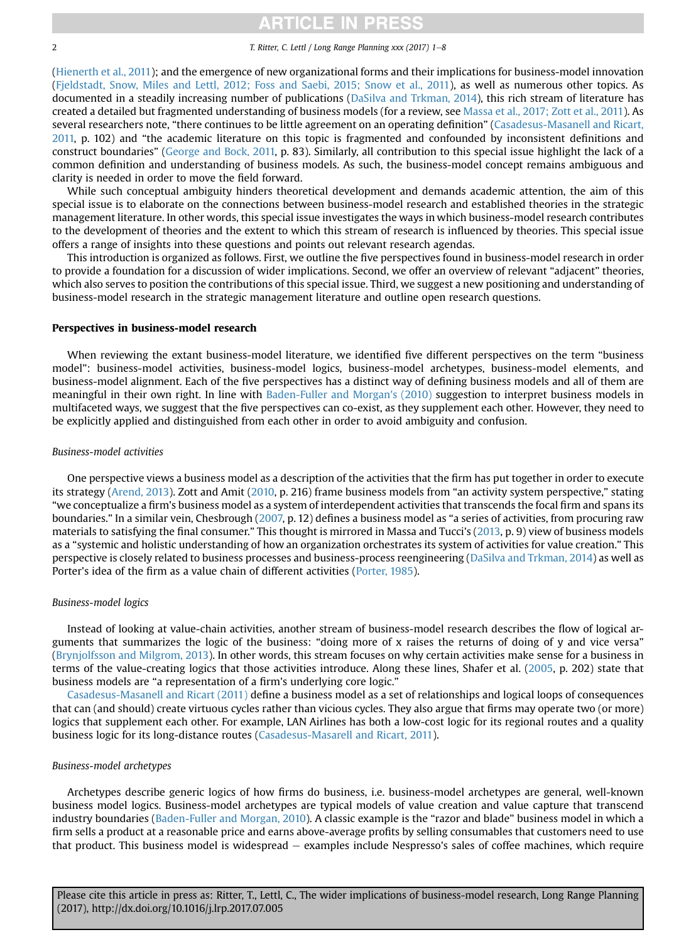### **ITICLE IN PRE**

2 T. Ritter, C. Lettl / Long Range Planning xxx (2017) 1-8

(Hienerth et al., 2011); and the emergence of new organizational forms and their implications for business-model innovation (Fjeldstadt, Snow, Miles and Lettl, 2012; Foss and Saebi, 2015; Snow et al., 2011), as well as numerous other topics. As documented in a steadily increasing number of publications (DaSilva and Trkman, 2014), this rich stream of literature has created a detailed but fragmented understanding of business models (for a review, see Massa et al., 2017; Zott et al., 2011). As several researchers note, "there continues to be little agreement on an operating definition" (Casadesus-Masanell and Ricart, 2011, p. 102) and "the academic literature on this topic is fragmented and confounded by inconsistent definitions and construct boundaries" (George and Bock, 2011, p. 83). Similarly, all contribution to this special issue highlight the lack of a common definition and understanding of business models. As such, the business-model concept remains ambiguous and clarity is needed in order to move the field forward.

While such conceptual ambiguity hinders theoretical development and demands academic attention, the aim of this special issue is to elaborate on the connections between business-model research and established theories in the strategic management literature. In other words, this special issue investigates the ways in which business-model research contributes to the development of theories and the extent to which this stream of research is influenced by theories. This special issue offers a range of insights into these questions and points out relevant research agendas.

This introduction is organized as follows. First, we outline the five perspectives found in business-model research in order to provide a foundation for a discussion of wider implications. Second, we offer an overview of relevant "adjacent" theories, which also serves to position the contributions of this special issue. Third, we suggest a new positioning and understanding of business-model research in the strategic management literature and outline open research questions.

#### Perspectives in business-model research

When reviewing the extant business-model literature, we identified five different perspectives on the term "business model": business-model activities, business-model logics, business-model archetypes, business-model elements, and business-model alignment. Each of the five perspectives has a distinct way of defining business models and all of them are meaningful in their own right. In line with Baden-Fuller and Morgan's (2010) suggestion to interpret business models in multifaceted ways, we suggest that the five perspectives can co-exist, as they supplement each other. However, they need to be explicitly applied and distinguished from each other in order to avoid ambiguity and confusion.

#### Business-model activities

One perspective views a business model as a description of the activities that the firm has put together in order to execute its strategy (Arend, 2013). Zott and Amit (2010, p. 216) frame business models from "an activity system perspective," stating "we conceptualize a firm's business model as a system of interdependent activities that transcends the focal firm and spans its boundaries." In a similar vein, Chesbrough (2007, p. 12) defines a business model as "a series of activities, from procuring raw materials to satisfying the final consumer." This thought is mirrored in Massa and Tucci's (2013, p. 9) view of business models as a "systemic and holistic understanding of how an organization orchestrates its system of activities for value creation." This perspective is closely related to business processes and business-process reengineering (DaSilva and Trkman, 2014) as well as Porter's idea of the firm as a value chain of different activities (Porter, 1985).

#### Business-model logics

Instead of looking at value-chain activities, another stream of business-model research describes the flow of logical arguments that summarizes the logic of the business: "doing more of x raises the returns of doing of y and vice versa" (Brynjolfsson and Milgrom, 2013). In other words, this stream focuses on why certain activities make sense for a business in terms of the value-creating logics that those activities introduce. Along these lines, Shafer et al. (2005, p. 202) state that business models are "a representation of a firm's underlying core logic."

Casadesus-Masanell and Ricart (2011) define a business model as a set of relationships and logical loops of consequences that can (and should) create virtuous cycles rather than vicious cycles. They also argue that firms may operate two (or more) logics that supplement each other. For example, LAN Airlines has both a low-cost logic for its regional routes and a quality business logic for its long-distance routes (Casadesus-Masarell and Ricart, 2011).

#### Business-model archetypes

Archetypes describe generic logics of how firms do business, i.e. business-model archetypes are general, well-known business model logics. Business-model archetypes are typical models of value creation and value capture that transcend industry boundaries (Baden-Fuller and Morgan, 2010). A classic example is the "razor and blade" business model in which a firm sells a product at a reasonable price and earns above-average profits by selling consumables that customers need to use that product. This business model is widespread – examples include Nespresso's sales of coffee machines, which require

Please cite this article in press as: Ritter, T., Lettl, C., The wider implications of business-model research, Long Range Planning (2017), http://dx.doi.org/10.1016/j.lrp.2017.07.005